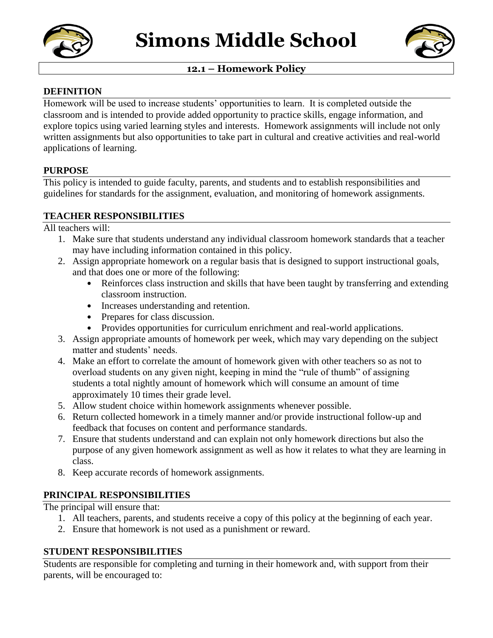



## **12.1 – Homework Policy**

#### **DEFINITION**

Homework will be used to increase students' opportunities to learn. It is completed outside the classroom and is intended to provide added opportunity to practice skills, engage information, and explore topics using varied learning styles and interests. Homework assignments will include not only written assignments but also opportunities to take part in cultural and creative activities and real-world applications of learning.

#### **PURPOSE**

This policy is intended to guide faculty, parents, and students and to establish responsibilities and guidelines for standards for the assignment, evaluation, and monitoring of homework assignments.

#### **TEACHER RESPONSIBILITIES**

All teachers will:

- 1. Make sure that students understand any individual classroom homework standards that a teacher may have including information contained in this policy.
- 2. Assign appropriate homework on a regular basis that is designed to support instructional goals, and that does one or more of the following:
	- Reinforces class instruction and skills that have been taught by transferring and extending classroom instruction.
	- Increases understanding and retention.
	- Prepares for class discussion.
	- Provides opportunities for curriculum enrichment and real-world applications.
- 3. Assign appropriate amounts of homework per week, which may vary depending on the subject matter and students' needs.
- 4. Make an effort to correlate the amount of homework given with other teachers so as not to overload students on any given night, keeping in mind the "rule of thumb" of assigning students a total nightly amount of homework which will consume an amount of time approximately 10 times their grade level.
- 5. Allow student choice within homework assignments whenever possible.
- 6. Return collected homework in a timely manner and/or provide instructional follow-up and feedback that focuses on content and performance standards.
- 7. Ensure that students understand and can explain not only homework directions but also the purpose of any given homework assignment as well as how it relates to what they are learning in class.
- 8. Keep accurate records of homework assignments.

## **PRINCIPAL RESPONSIBILITIES**

The principal will ensure that:

- 1. All teachers, parents, and students receive a copy of this policy at the beginning of each year.
- 2. Ensure that homework is not used as a punishment or reward.

## **STUDENT RESPONSIBILITIES**

Students are responsible for completing and turning in their homework and, with support from their parents, will be encouraged to: